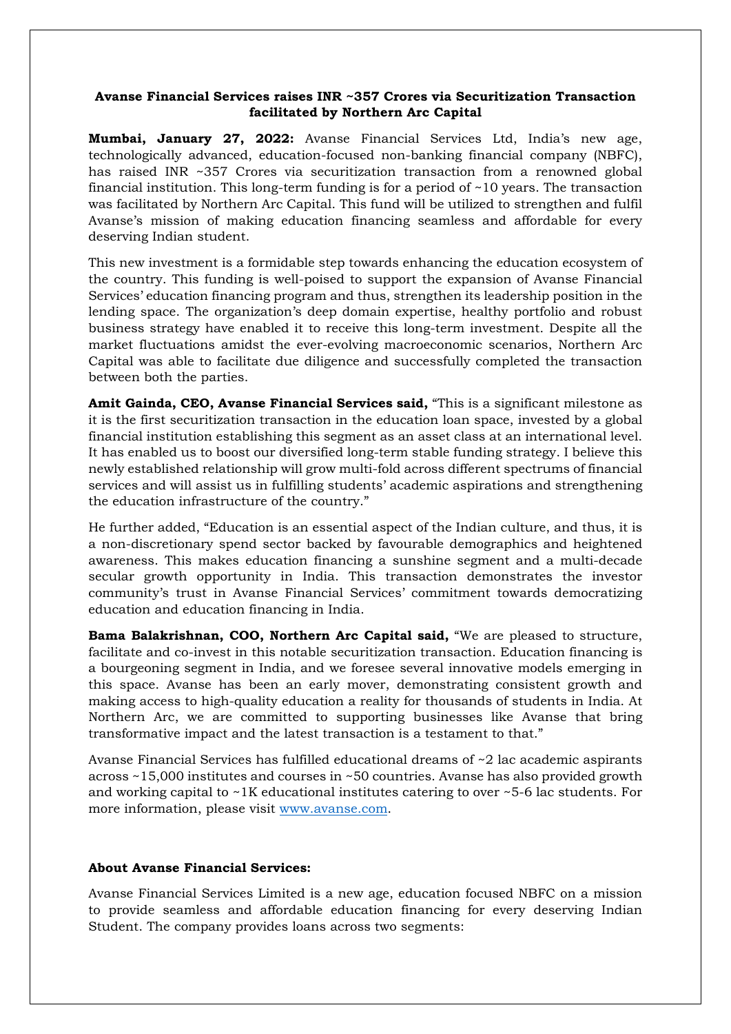## **Avanse Financial Services raises INR ~357 Crores via Securitization Transaction facilitated by Northern Arc Capital**

**Mumbai, January 27, 2022:** Avanse Financial Services Ltd, India's new age, technologically advanced, education-focused non-banking financial company (NBFC), has raised INR ~357 Crores via securitization transaction from a renowned global financial institution. This long-term funding is for a period of ~10 years. The transaction was facilitated by Northern Arc Capital. This fund will be utilized to strengthen and fulfil Avanse's mission of making education financing seamless and affordable for every deserving Indian student.

This new investment is a formidable step towards enhancing the education ecosystem of the country. This funding is well-poised to support the expansion of Avanse Financial Services' education financing program and thus, strengthen its leadership position in the lending space. The organization's deep domain expertise, healthy portfolio and robust business strategy have enabled it to receive this long-term investment. Despite all the market fluctuations amidst the ever-evolving macroeconomic scenarios, Northern Arc Capital was able to facilitate due diligence and successfully completed the transaction between both the parties.

**Amit Gainda, CEO, Avanse Financial Services said,** "This is a significant milestone as it is the first securitization transaction in the education loan space, invested by a global financial institution establishing this segment as an asset class at an international level. It has enabled us to boost our diversified long-term stable funding strategy. I believe this newly established relationship will grow multi-fold across different spectrums of financial services and will assist us in fulfilling students' academic aspirations and strengthening the education infrastructure of the country."

He further added, "Education is an essential aspect of the Indian culture, and thus, it is a non-discretionary spend sector backed by favourable demographics and heightened awareness. This makes education financing a sunshine segment and a multi-decade secular growth opportunity in India. This transaction demonstrates the investor community's trust in Avanse Financial Services' commitment towards democratizing education and education financing in India.

**Bama Balakrishnan, COO, Northern Arc Capital said,** "We are pleased to structure, facilitate and co-invest in this notable securitization transaction. Education financing is a bourgeoning segment in India, and we foresee several innovative models emerging in this space. Avanse has been an early mover, demonstrating consistent growth and making access to high-quality education a reality for thousands of students in India. At Northern Arc, we are committed to supporting businesses like Avanse that bring transformative impact and the latest transaction is a testament to that."

Avanse Financial Services has fulfilled educational dreams of ~2 lac academic aspirants across ~15,000 institutes and courses in ~50 countries. Avanse has also provided growth and working capital to ~1K educational institutes catering to over ~5-6 lac students. For more information, please visit www.avanse.com.

## **About Avanse Financial Services:**

Avanse Financial Services Limited is a new age, education focused NBFC on a mission to provide seamless and affordable education financing for every deserving Indian Student. The company provides loans across two segments: